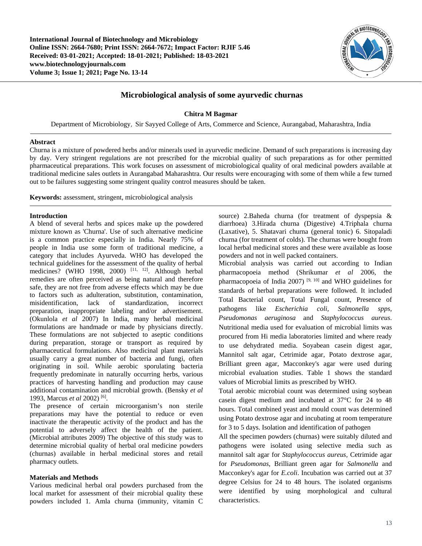**International Journal of Biotechnology and Microbiology Online ISSN: 2664-7680; Print ISSN: 2664-7672; Impact Factor: RJIF 5.46 Received: 03-01-2021; Accepted: 18-01-2021; Published: 18-03-2021 www.biotechnologyjournals.com Volume 3; Issue 1; 2021; Page No. 13-14**



# **Microbiological analysis of some ayurvedic churnas**

## **Chitra M Bagmar**

Department of Microbiology, Sir Sayyed College of Arts, Commerce and Science, Aurangabad, Maharashtra, India

#### **Abstract**

Churna is a mixture of powdered herbs and/or minerals used in ayurvedic medicine. Demand of such preparations is increasing day by day. Very stringent regulations are not prescribed for the microbial quality of such preparations as for other permitted pharmaceutical preparations. This work focuses on assessment of microbiological quality of oral medicinal powders available at traditional medicine sales outlets in Aurangabad Maharashtra. Our results were encouraging with some of them while a few turned out to be failures suggesting some stringent quality control measures should be taken.

**Keywords:** assessment, stringent, microbiological analysis

#### **Introduction**

A blend of several herbs and spices make up the powdered mixture known as 'Churna'. Use of such alternative medicine is a common practice especially in India. Nearly 75% of people in India use some form of traditional medicine, a category that includes Ayurveda. WHO has developed the technical guidelines for the assessment of the quality of herbal medicines? (WHO 1998, 2000)<sup>[11, 12]</sup>. Although herbal remedies are often perceived as being natural and therefore safe, they are not free from adverse effects which may be due to factors such as adulteration, substitution, contamination, misidentification, lack of standardization, incorrect misidentification. preparation, inappropriate labeling and/or advertisement. (Okunlola *et al* 2007) In India, many herbal medicinal formulations are handmade or made by physicians directly. These formulations are not subjected to aseptic conditions during preparation, storage or transport as required by pharmaceutical formulations. Also medicinal plant materials usually carry a great number of bacteria and fungi, often originating in soil. While aerobic sporulating bacteria frequently predominate in naturally occurring herbs, various practices of harvesting handling and production may cause additional contamination and microbial growth. (Bensky *et al* 1993, Marcus *et al* 2002) [6] .

The presence of certain microorganism's non sterile preparations may have the potential to reduce or even inactivate the therapeutic activity of the product and has the potential to adversely affect the health of the patient. (Microbial attributes 2009) The objective of this study was to determine microbial quality of herbal oral medicine powders (churnas) available in herbal medicinal stores and retail pharmacy outlets.

## **Materials and Methods**

Various medicinal herbal oral powders purchased from the local market for assessment of their microbial quality these powders included 1. Amla churna (immunity, vitamin C

source) 2.Baheda churna (for treatment of dyspepsia & diarrhoea) 3.Hirada churna (Digestive) 4.Triphala churna (Laxative), 5. Shatavari churna (general tonic) 6. Sitopaladi churna (for treatment of colds). The churnas were bought from local herbal medicinal stores and these were available as loose powders and not in well packed containers.

Microbial analysis was carried out according to Indian pharmacopoeia method (Shrikumar *et al* 2006, the pharmacopoeia of India 2007)  $[9, 10]$  and WHO guidelines for standards of herbal preparations were followed. It included Total Bacterial count, Total Fungal count, Presence of pathogens like *Escherichia coli, Salmonella spps, Pseudomonas aeruginosa* and *Staphylococcus aureus*. Nutritional media used for evaluation of microbial limits was procured from Hi media laboratories limited and where ready to use dehydrated media. Soyabean casein digest agar, Mannitol salt agar, Cetrimide agar, Potato dextrose agar, Brilliant green agar, Macconkey's agar were used during microbial evaluation studies. Table 1 shows the standard values of Microbial limits as prescribed by WHO.

Total aerobic microbial count was determined using soybean casein digest medium and incubated at 37°C for 24 to 48 hours. Total combined yeast and mould count was determined using Potato dextrose agar and incubating at room temperature for 3 to 5 days. Isolation and identification of pathogen

All the specimen powders (churnas) were suitably diluted and pathogens were isolated using selective media such as mannitol salt agar for *Staphylococcus aureus,* Cetrimide agar for *Pseudomonas*, Brilliant green agar for *Salmonella* and Macconkey's agar for *E.coli*. Incubation was carried out at 37 degree Celsius for 24 to 48 hours. The isolated organisms were identified by using morphological and cultural characteristics.